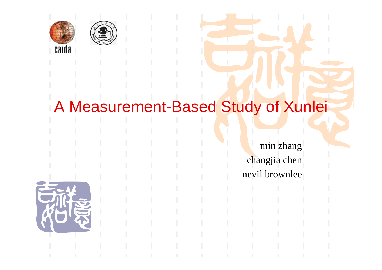



#### A Measurement-Based Study of Xunlei

min zhang changjia chen nevil brownlee

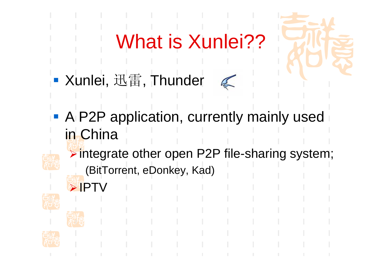# What is Xunlei??

- ■ Xunlei, 迅雷, Thunder
- $\mathbb{Z}$
- **A P2P application, currently mainly used** in China
	- <sup>¾</sup>integrate other open P2P file-sharing system;
		- (BitTorrent, eDonkey, Kad)







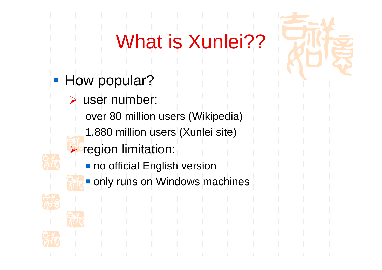# What is Xunlei??

- **How popular?** 
	- ¾ user number:
		- over 80 million users (Wikipedia)
			- 1,880 million users (Xunlei site)
	- ¾ region limitation:
		- **no official English version**
	-
- **Only runs on Windows machines**





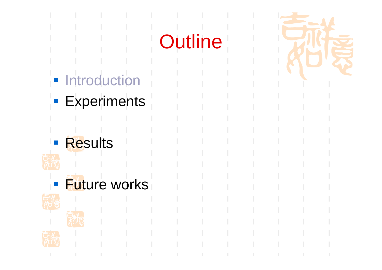# **Outline**

- **Introduction**
- **Experiments**
- **Results**







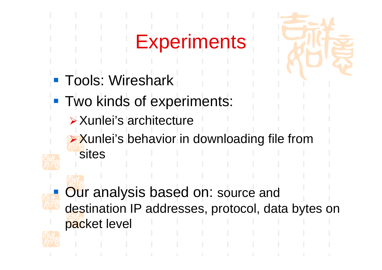## **Experiments**

- **Tools: Wireshark**
- **Two kinds of experiments:** 
	- ¾Xunlei's architecture
	- <sup>¾</sup>Xunlei's behavior in downloading file from sites



**Our analysis based on: source and** destination IP addresses, protocol, data bytes on packet level

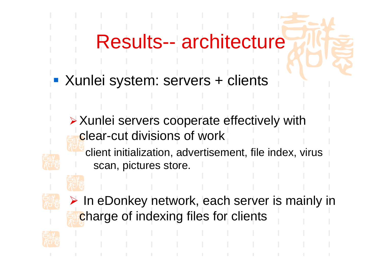### Results-- architecture

- **Kunlei system: servers + clients** 
	- <sup>¾</sup>Xunlei servers cooperate effectively with clear-cut divisions of work
		- client initialization, advertisement, file index, virus scan, pictures store.





¾ In eDonkey network, each server is mainly in charge of indexing files for clients

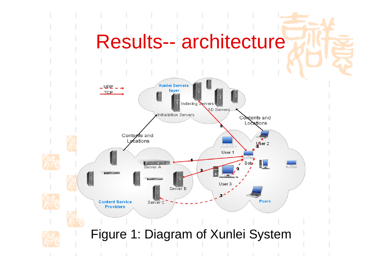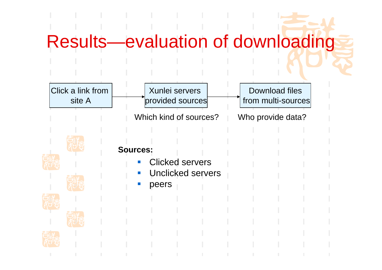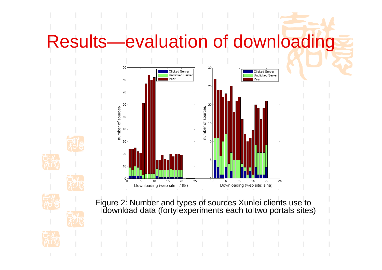## Results—evaluation of downloading









Figure 2: Number and types of sources Xunlei clients use to download data (forty experiments each to two portals sites)

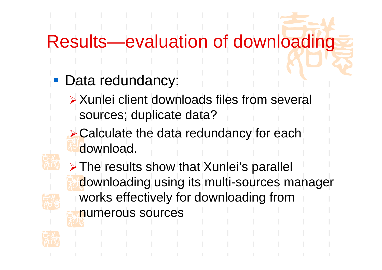### Results—evaluation of downloading

- Data redundancy:
	- ¾Xunlei client downloads files from several sources; duplicate data?
	- **► Calculate the data redundancy for each** download.
- 
- <sup>¾</sup>The results show that Xunlei's parallel downloading using its multi-sources manager works effectively for downloading from numerous sources

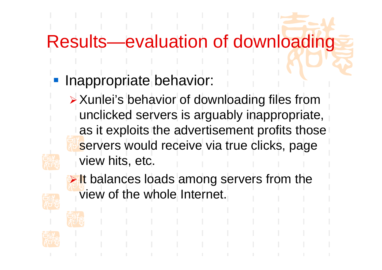### Results—evaluation of downloading

- Inappropriate behavior:
	- <sup>¾</sup>Xunlei's behavior of downloading files from unclicked servers is arguably inappropriate, as it exploits the advertisement profits those servers would receive via true clicks, page view hits, etc.



It balances loads among servers from the view of the whole Internet.



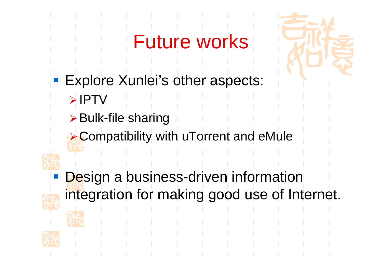## Future works



- Explore Xunlei's other aspects:
	- ¾IPTV
	- <sup>¾</sup>Bulk-file sharing
	- **≻ Compatibility with uTorrent and eMule**
- - Design a business-driven information integration for making good use of Internet.